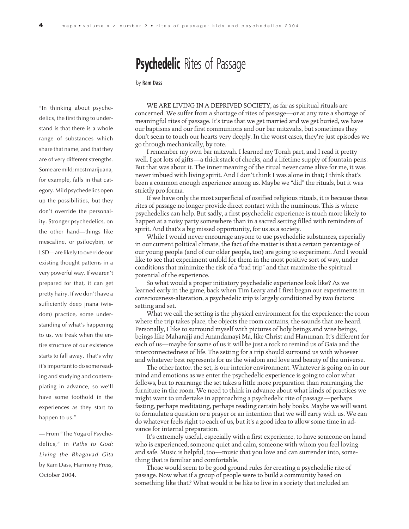## **Psychedelic** Rites of Passage

## by **Ram Dass**

"In thinking about psychedelics, the first thing to understand is that there is a whole range of substances which share that name, and that they are of very different strengths. Some are mild; most marijuana, for example, falls in that category. Mild psychedelics open up the possibilities, but they don't override the personality. Stronger psychedelics, on the other hand—things like mescaline, or psilocybin, or LSD—are likely to override our existing thought patterns in a very powerful way. If we aren't prepared for that, it can get pretty hairy. If we don't have a sufficiently deep jnana (wisdom) practice, some understanding of what's happening to us, we freak when the entire structure of our existence starts to fall away. That's why it's important to do some reading and studying and contemplating in advance, so we'll have some foothold in the experiences as they start to happen to us."

— From "The Yoga of Psychedelics," in Paths to God: Living the Bhagavad Gita by Ram Dass, Harmony Press, October 2004.

WE ARE LIVING IN A DEPRIVED SOCIETY, as far as spiritual rituals are concerned. We suffer from a shortage of rites of passage—or at any rate a shortage of meaningful rites of passage. It's true that we get married and we get buried, we have our baptisms and our first communions and our bar mitzvahs, but sometimes they don't seem to touch our hearts very deeply. In the worst cases, they're just episodes we go through mechanically, by rote.

I remember my own bar mitzvah. I learned my Torah part, and I read it pretty well. I got lots of gifts—a thick stack of checks, and a lifetime supply of fountain pens. But that was about it. The inner meaning of the ritual never came alive for me, it was never imbued with living spirit. And I don't think I was alone in that; I think that's been a common enough experience among us. Maybe we "did" the rituals, but it was strictly pro forma.

If we have only the most superficial of ossified religious rituals, it is because these rites of passage no longer provide direct contact with the numinous. This is where psychedelics can help. But sadly, a first psychedelic experience is much more likely to happen at a noisy party somewhere than in a sacred setting filled with reminders of spirit. And that's a big missed opportunity, for us as a society.

While I would never encourage anyone to use psychedelic substances, especially in our current political climate, the fact of the matter is that a certain percentage of our young people (and of our older people, too) are going to experiment. And I would like to see that experiment unfold for them in the most positive sort of way, under conditions that minimize the risk of a "bad trip" and that maximize the spiritual potential of the experience.

So what would a proper initiatory psychedelic experience look like? As we learned early in the game, back when Tim Leary and I first began our experiments in consciousness-alteration, a psychedelic trip is largely conditioned by two factors: setting and set.

What we call the setting is the physical environment for the experience: the room where the trip takes place, the objects the room contains, the sounds that are heard. Personally, I like to surround myself with pictures of holy beings and wise beings, beings like Maharajji and Anandamayi Ma, like Christ and Hanuman. It's different for each of us—maybe for some of us it will be just a rock to remind us of Gaia and the interconnectedness of life. The setting for a trip should surround us with whoever and whatever best represents for us the wisdom and love and beauty of the universe.

The other factor, the set, is our interior environment. Whatever is going on in our mind and emotions as we enter the psychedelic experience is going to color what follows, but to rearrange the set takes a little more preparation than rearranging the furniture in the room. We need to think in advance about what kinds of practices we might want to undertake in approaching a psychedelic rite of passage—perhaps fasting, perhaps meditating, perhaps reading certain holy books. Maybe we will want to formulate a question or a prayer or an intention that we will carry with us. We can do whatever feels right to each of us, but it's a good idea to allow some time in advance for internal preparation.

It's extremely useful, especially with a first experience, to have someone on hand who is experienced, someone quiet and calm, someone with whom you feel loving and safe. Music is helpful, too—music that you love and can surrender into, something that is familiar and comfortable.

Those would seem to be good ground rules for creating a psychedelic rite of passage. Now what if a group of people were to build a community based on something like that? What would it be like to live in a society that included an